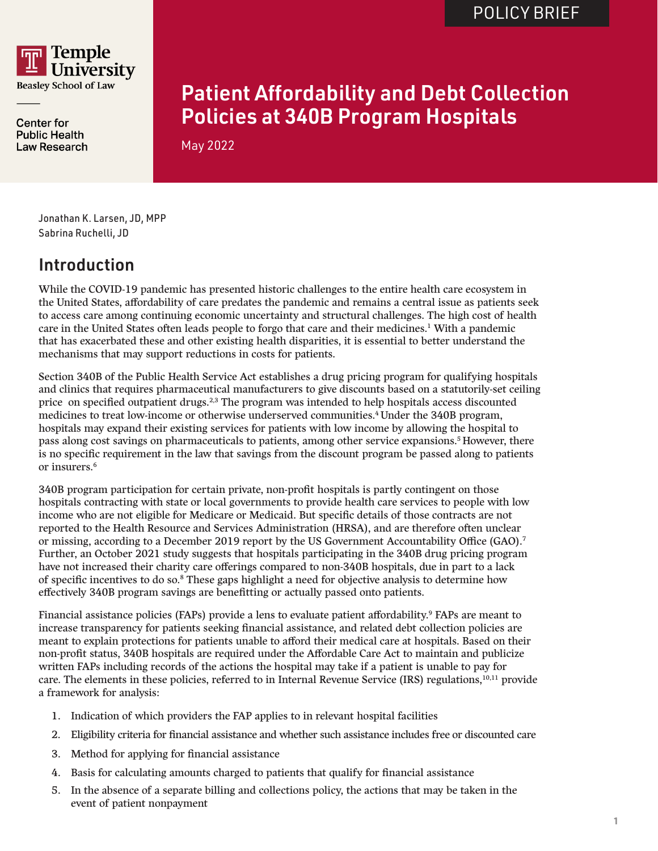

**Center for Public Health** Law Research

# Patient Affordability and Debt Collection Policies at 340B Program Hospitals

May 2022

Jonathan K. Larsen, JD, MPP Sabrina Ruchelli, JD

## Introduction

While the COVID-19 pandemic has presented historic challenges to the entire health care ecosystem in the United States, affordability of care predates the pandemic and remains a central issue as patients seek to access care among continuing economic uncertainty and structural challenges. The high cost of health care in the United States often leads people to forgo that care and their medicines.<sup>1</sup> With a pandemic that has exacerbated these and other existing health disparities, it is essential to better understand the mechanisms that may support reductions in costs for patients.

Section 340B of the Public Health Service Act establishes a drug pricing program for qualifying hospitals and clinics that requires pharmaceutical manufacturers to give discounts based on a statutorily-set ceiling price on specified outpatient drugs.<sup>2,3</sup> The program was intended to help hospitals access discounted medicines to treat low-income or otherwise underserved communities.4 Under the 340B program, hospitals may expand their existing services for patients with low income by allowing the hospital to pass along cost savings on pharmaceuticals to patients, among other service expansions.5 However, there is no specific requirement in the law that savings from the discount program be passed along to patients or insurers.6

340B program participation for certain private, non-profit hospitals is partly contingent on those hospitals contracting with state or local governments to provide health care services to people with low income who are not eligible for Medicare or Medicaid. But specific details of those contracts are not reported to the Health Resource and Services Administration (HRSA), and are therefore often unclear or missing, according to a December 2019 report by the US Government Accountability Office (GAO).7 Further, an October 2021 study suggests that hospitals participating in the 340B drug pricing program have not increased their charity care offerings compared to non-340B hospitals, due in part to a lack of specific incentives to do so.8 These gaps highlight a need for objective analysis to determine how effectively 340B program savings are benefitting or actually passed onto patients.

Financial assistance policies (FAPs) provide a lens to evaluate patient affordability.<sup>9</sup> FAPs are meant to increase transparency for patients seeking financial assistance, and related debt collection policies are meant to explain protections for patients unable to afford their medical care at hospitals. Based on their non-profit status, 340B hospitals are required under the Affordable Care Act to maintain and publicize written FAPs including records of the actions the hospital may take if a patient is unable to pay for care. The elements in these policies, referred to in Internal Revenue Service (IRS) regulations,<sup>10,11</sup> provide a framework for analysis:

- 1. Indication of which providers the FAP applies to in relevant hospital facilities
- 2. Eligibility criteria for financial assistance and whether such assistance includes free or discounted care
- 3. Method for applying for financial assistance
- 4. Basis for calculating amounts charged to patients that qualify for financial assistance
- 5. In the absence of a separate billing and collections policy, the actions that may be taken in the event of patient nonpayment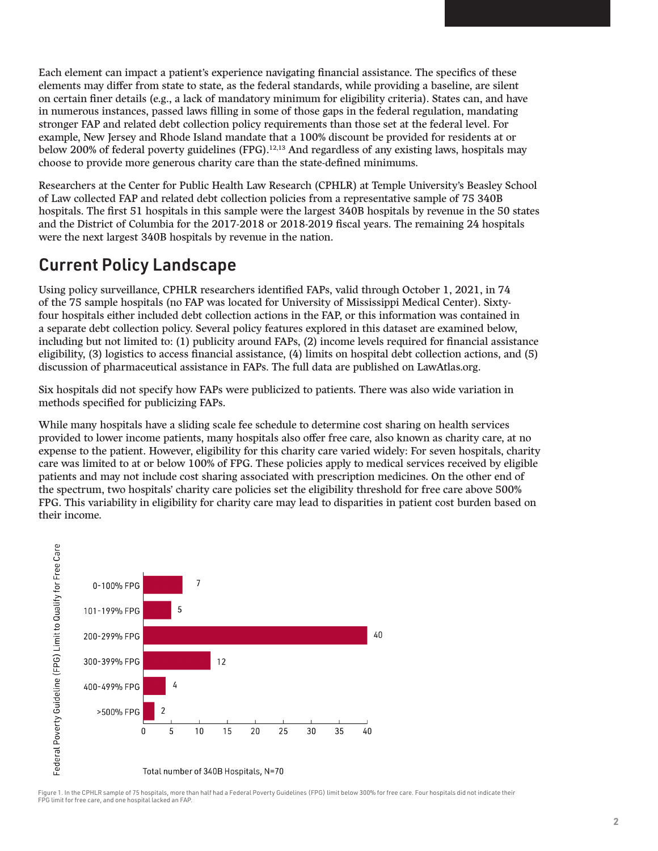Each element can impact a patient's experience navigating financial assistance. The specifics of these elements may differ from state to state, as the federal standards, while providing a baseline, are silent on certain finer details (e.g., a lack of mandatory minimum for eligibility criteria). States can, and have in numerous instances, passed laws filling in some of those gaps in the federal regulation, mandating stronger FAP and related debt collection policy requirements than those set at the federal level. For example, New Jersey and Rhode Island mandate that a 100% discount be provided for residents at or below 200% of federal poverty guidelines (FPG).12,13 And regardless of any existing laws, hospitals may choose to provide more generous charity care than the state-defined minimums.

Researchers at the Center for Public Health Law Research (CPHLR) at Temple University's Beasley School of Law collected FAP and related debt collection policies from a representative sample of 75 340B hospitals. The first 51 hospitals in this sample were the largest 340B hospitals by revenue in the 50 states and the District of Columbia for the 2017-2018 or 2018-2019 fiscal years. The remaining 24 hospitals were the next largest 340B hospitals by revenue in the nation.

#### Current Policy Landscape

Using policy surveillance, CPHLR researchers identified FAPs, valid through October 1, 2021, in 74 of the 75 sample hospitals (no FAP was located for University of Mississippi Medical Center). Sixtyfour hospitals either included debt collection actions in the FAP, or this information was contained in a separate debt collection policy. Several policy features explored in this dataset are examined below, including but not limited to: (1) publicity around FAPs, (2) income levels required for financial assistance eligibility, (3) logistics to access financial assistance, (4) limits on hospital debt collection actions, and (5) discussion of pharmaceutical assistance in FAPs. The full data are published on LawAtlas.org.

Six hospitals did not specify how FAPs were publicized to patients. There was also wide variation in methods specified for publicizing FAPs.

While many hospitals have a sliding scale fee schedule to determine cost sharing on health services provided to lower income patients, many hospitals also offer free care, also known as charity care, at no expense to the patient. However, eligibility for this charity care varied widely: For seven hospitals, charity care was limited to at or below 100% of FPG. These policies apply to medical services received by eligible patients and may not include cost sharing associated with prescription medicines. On the other end of the spectrum, two hospitals' charity care policies set the eligibility threshold for free care above 500% FPG. This variability in eligibility for charity care may lead to disparities in patient cost burden based on their income.



Figure 1. In the CPHLR sample of 75 hospitals, more than half had a Federal Poverty Guidelines (FPG) limit below 300% for free care. Four hospitals did not indicate their FPG limit for free care, and one hospital lacked an FAP.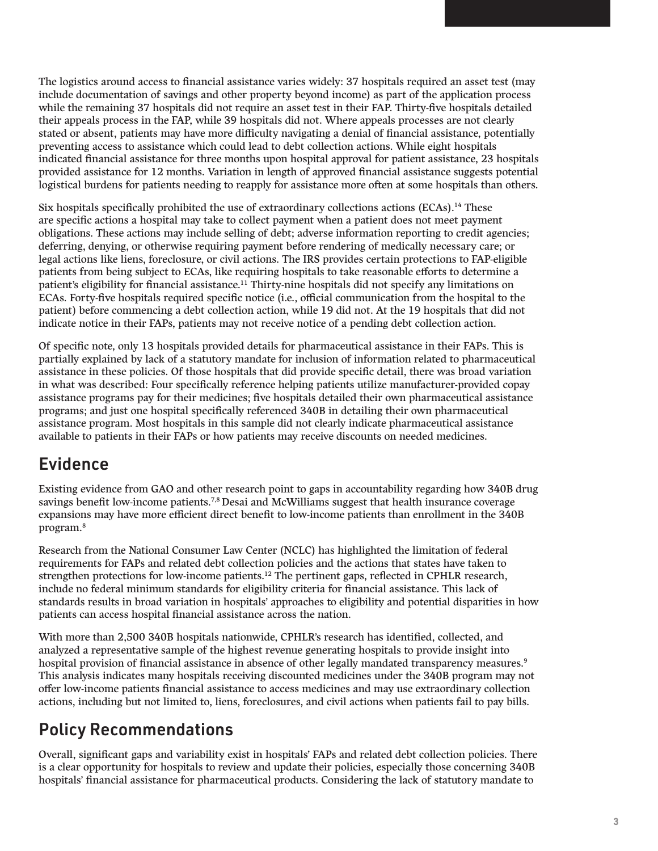The logistics around access to financial assistance varies widely: 37 hospitals required an asset test (may include documentation of savings and other property beyond income) as part of the application process while the remaining 37 hospitals did not require an asset test in their FAP. Thirty-five hospitals detailed their appeals process in the FAP, while 39 hospitals did not. Where appeals processes are not clearly stated or absent, patients may have more difficulty navigating a denial of financial assistance, potentially preventing access to assistance which could lead to debt collection actions. While eight hospitals indicated financial assistance for three months upon hospital approval for patient assistance, 23 hospitals provided assistance for 12 months. Variation in length of approved financial assistance suggests potential logistical burdens for patients needing to reapply for assistance more often at some hospitals than others.

Six hospitals specifically prohibited the use of extraordinary collections actions (ECAs).14 These are specific actions a hospital may take to collect payment when a patient does not meet payment obligations. These actions may include selling of debt; adverse information reporting to credit agencies; deferring, denying, or otherwise requiring payment before rendering of medically necessary care; or legal actions like liens, foreclosure, or civil actions. The IRS provides certain protections to FAP-eligible patients from being subject to ECAs, like requiring hospitals to take reasonable efforts to determine a patient's eligibility for financial assistance.11 Thirty-nine hospitals did not specify any limitations on ECAs. Forty-five hospitals required specific notice (i.e., official communication from the hospital to the patient) before commencing a debt collection action, while 19 did not. At the 19 hospitals that did not indicate notice in their FAPs, patients may not receive notice of a pending debt collection action.

Of specific note, only 13 hospitals provided details for pharmaceutical assistance in their FAPs. This is partially explained by lack of a statutory mandate for inclusion of information related to pharmaceutical assistance in these policies. Of those hospitals that did provide specific detail, there was broad variation in what was described: Four specifically reference helping patients utilize manufacturer-provided copay assistance programs pay for their medicines; five hospitals detailed their own pharmaceutical assistance programs; and just one hospital specifically referenced 340B in detailing their own pharmaceutical assistance program. Most hospitals in this sample did not clearly indicate pharmaceutical assistance available to patients in their FAPs or how patients may receive discounts on needed medicines.

#### Evidence

Existing evidence from GAO and other research point to gaps in accountability regarding how 340B drug savings benefit low-income patients.<sup>7,8</sup> Desai and McWilliams suggest that health insurance coverage expansions may have more efficient direct benefit to low-income patients than enrollment in the 340B program.8

Research from the National Consumer Law Center (NCLC) has highlighted the limitation of federal requirements for FAPs and related debt collection policies and the actions that states have taken to strengthen protections for low-income patients.12 The pertinent gaps, reflected in CPHLR research, include no federal minimum standards for eligibility criteria for financial assistance. This lack of standards results in broad variation in hospitals' approaches to eligibility and potential disparities in how patients can access hospital financial assistance across the nation.

With more than 2,500 340B hospitals nationwide, CPHLR's research has identified, collected, and analyzed a representative sample of the highest revenue generating hospitals to provide insight into hospital provision of financial assistance in absence of other legally mandated transparency measures.<sup>9</sup> This analysis indicates many hospitals receiving discounted medicines under the 340B program may not offer low-income patients financial assistance to access medicines and may use extraordinary collection actions, including but not limited to, liens, foreclosures, and civil actions when patients fail to pay bills.

## Policy Recommendations

Overall, significant gaps and variability exist in hospitals' FAPs and related debt collection policies. There is a clear opportunity for hospitals to review and update their policies, especially those concerning 340B hospitals' financial assistance for pharmaceutical products. Considering the lack of statutory mandate to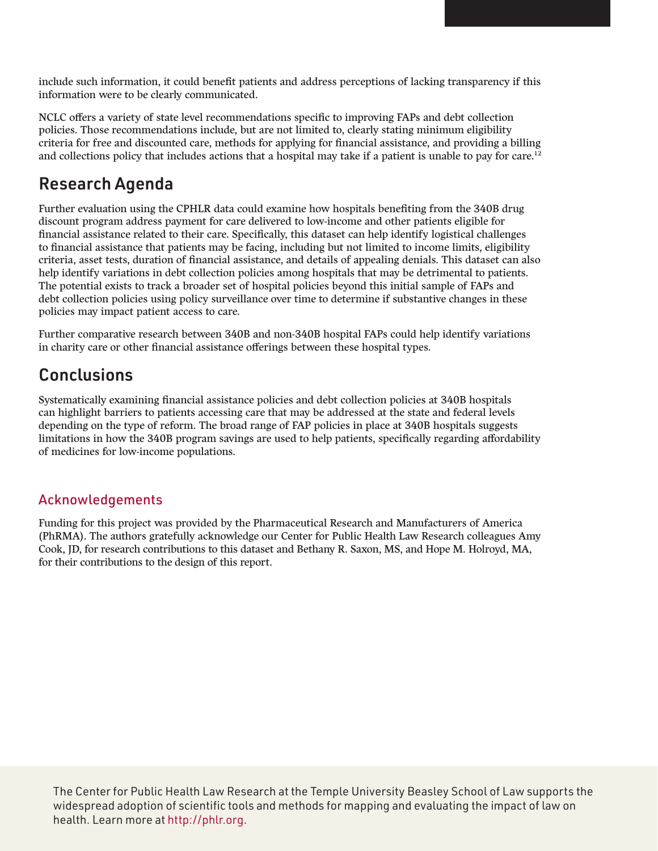include such information, it could benefit patients and address perceptions of lacking transparency if this information were to be clearly communicated.

NCLC offers a variety of state level recommendations specific to improving FAPs and debt collection policies. Those recommendations include, but are not limited to, clearly stating minimum eligibility criteria for free and discounted care, methods for applying for financial assistance, and providing a billing and collections policy that includes actions that a hospital may take if a patient is unable to pay for care.<sup>12</sup>

#### Research Agenda

Further evaluation using the CPHLR data could examine how hospitals benefiting from the 340B drug discount program address payment for care delivered to low-income and other patients eligible for financial assistance related to their care. Specifically, this dataset can help identify logistical challenges to financial assistance that patients may be facing, including but not limited to income limits, eligibility criteria, asset tests, duration of financial assistance, and details of appealing denials. This dataset can also help identify variations in debt collection policies among hospitals that may be detrimental to patients. The potential exists to track a broader set of hospital policies beyond this initial sample of FAPs and debt collection policies using policy surveillance over time to determine if substantive changes in these policies may impact patient access to care.

Further comparative research between 340B and non-340B hospital FAPs could help identify variations in charity care or other financial assistance offerings between these hospital types.

## **Conclusions**

Systematically examining financial assistance policies and debt collection policies at 340B hospitals can highlight barriers to patients accessing care that may be addressed at the state and federal levels depending on the type of reform. The broad range of FAP policies in place at 340B hospitals suggests limitations in how the 340B program savings are used to help patients, specifically regarding affordability of medicines for low-income populations.

#### Acknowledgements

Funding for this project was provided by the Pharmaceutical Research and Manufacturers of America (PhRMA). The authors gratefully acknowledge our Center for Public Health Law Research colleagues Amy Cook, JD, for research contributions to this dataset and Bethany R. Saxon, MS, and Hope M. Holroyd, MA, for their contributions to the design of this report.

The Center for Public Health Law Research at the Temple University Beasley School of Law supports the widespread adoption of scientific tools and methods for mapping and evaluating the impact of law on health. Learn more at [http://phlr.org.](http://phlr.org)